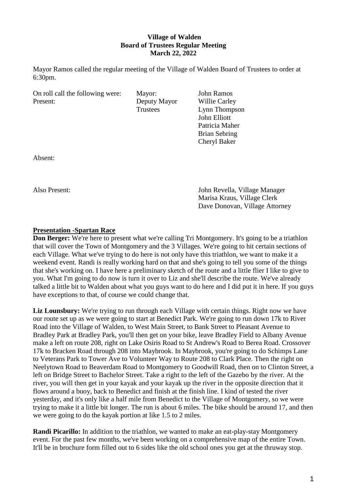# **Village of Walden Board of Trustees Regular Meeting March 22, 2022**

Mayor Ramos called the regular meeting of the Village of Walden Board of Trustees to order at 6:30pm.

On roll call the following were: Mayor: John Ramos Present: Deputy Mayor Willie Carley

Trustees Lynn Thompson John Elliott Patricia Maher Brian Sebring Cheryl Baker

Absent:

Also Present: John Revella, Village Manager Marisa Kraus, Village Clerk Dave Donovan, Village Attorney

# **Presentation -Spartan Race**

**Don Berger:** We're here to present what we're calling Tri Montgomery. It's going to be a triathlon that will cover the Town of Montgomery and the 3 Villages. We're going to hit certain sections of each Village. What we've trying to do here is not only have this triathlon, we want to make it a weekend event. Randi is really working hard on that and she's going to tell you some of the things that she's working on. I have here a preliminary sketch of the route and a little flier I like to give to you. What I'm going to do now is turn it over to Liz and she'll describe the route. We've already talked a little bit to Walden about what you guys want to do here and I did put it in here. If you guys have exceptions to that, of course we could change that.

Liz Lounsbury: We're trying to run through each Village with certain things. Right now we have our route set up as we were going to start at Benedict Park. We're going to run down 17k to River Road into the Village of Walden, to West Main Street, to Bank Street to Pleasant Avenue to Bradley Park at Bradley Park, you'll then get on your bike, leave Bradley Field to Albany Avenue make a left on route 208, right on Lake Osiris Road to St Andrew's Road to Berea Road. Crossover 17k to Bracken Road through 208 into Maybrook. In Maybrook, you're going to do Schimps Lane to Veterans Park to Tower Ave to Volunteer Way to Route 208 to Clark Place. Then the right on Neelytown Road to Beaverdam Road to Montgomery to Goodwill Road, then on to Clinton Street, a left on Bridge Street to Bachelor Street. Take a right to the left of the Gazebo by the river. At the river, you will then get in your kayak and your kayak up the river in the opposite direction that it flows around a buoy, back to Benedict and finish at the finish line. I kind of tested the river yesterday, and it's only like a half mile from Benedict to the Village of Montgomery, so we were trying to make it a little bit longer. The run is about 6 miles. The bike should be around 17, and then we were going to do the kayak portion at like 1.5 to 2 miles.

**Randi Picarillo:** In addition to the triathlon, we wanted to make an eat-play-stay Montgomery event. For the past few months, we've been working on a comprehensive map of the entire Town. It'll be in brochure form filled out to 6 sides like the old school ones you get at the thruway stop.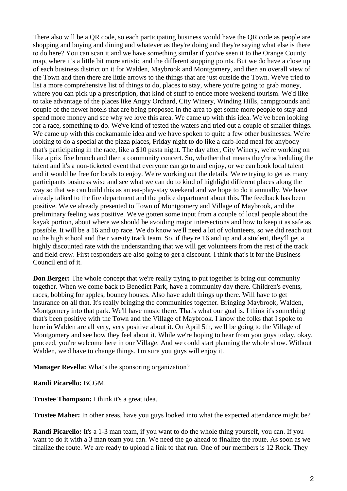There also will be a QR code, so each participating business would have the QR code as people are shopping and buying and dining and whatever as they're doing and they're saying what else is there to do here? You can scan it and we have something similar if you've seen it to the Orange County map, where it's a little bit more artistic and the different stopping points. But we do have a close up of each business district on it for Walden, Maybrook and Montgomery, and then an overall view of the Town and then there are little arrows to the things that are just outside the Town. We've tried to list a more comprehensive list of things to do, places to stay, where you're going to grab money, where you can pick up a prescription, that kind of stuff to entice more weekend tourism. We'd like to take advantage of the places like Angry Orchard, City Winery, Winding Hills, campgrounds and couple of the newer hotels that are being proposed in the area to get some more people to stay and spend more money and see why we love this area. We came up with this idea. We've been looking for a race, something to do. We've kind of tested the waters and tried out a couple of smaller things. We came up with this cockamamie idea and we have spoken to quite a few other businesses. We're looking to do a special at the pizza places, Friday night to do like a carb-load meal for anybody that's participating in the race, like a \$10 pasta night. The day after, City Winery, we're working on like a prix fixe brunch and then a community concert. So, whether that means they're scheduling the talent and it's a non-ticketed event that everyone can go to and enjoy, or we can book local talent and it would be free for locals to enjoy. We're working out the details. We're trying to get as many participants business wise and see what we can do to kind of highlight different places along the way so that we can build this as an eat-play-stay weekend and we hope to do it annually. We have already talked to the fire department and the police department about this. The feedback has been positive. We've already presented to Town of Montgomery and Village of Maybrook, and the preliminary feeling was positive. We've gotten some input from a couple of local people about the kayak portion, about where we should be avoiding major intersections and how to keep it as safe as possible. It will be a 16 and up race. We do know we'll need a lot of volunteers, so we did reach out to the high school and their varsity track team. So, if they're 16 and up and a student, they'll get a highly discounted rate with the understanding that we will get volunteers from the rest of the track and field crew. First responders are also going to get a discount. I think that's it for the Business Council end of it.

**Don Berger:** The whole concept that we're really trying to put together is bring our community together. When we come back to Benedict Park, have a community day there. Children's events, races, bobbing for apples, bouncy houses. Also have adult things up there. Will have to get insurance on all that. It's really bringing the communities together. Bringing Maybrook, Walden, Montgomery into that park. We'll have music there. That's what our goal is. I think it's something that's been positive with the Town and the Village of Maybrook. I know the folks that I spoke to here in Walden are all very, very positive about it. On April 5th, we'll be going to the Village of Montgomery and see how they feel about it. While we're hoping to hear from you guys today, okay, proceed, you're welcome here in our Village. And we could start planning the whole show. Without Walden, we'd have to change things. I'm sure you guys will enjoy it.

**Manager Revella:** What's the sponsoring organization?

**Randi Picarello:** BCGM.

**Trustee Thompson:** I think it's a great idea.

**Trustee Maher:** In other areas, have you guys looked into what the expected attendance might be?

**Randi Picarello:** It's a 1-3 man team, if you want to do the whole thing yourself, you can. If you want to do it with a 3 man team you can. We need the go ahead to finalize the route. As soon as we finalize the route. We are ready to upload a link to that run. One of our members is 12 Rock. They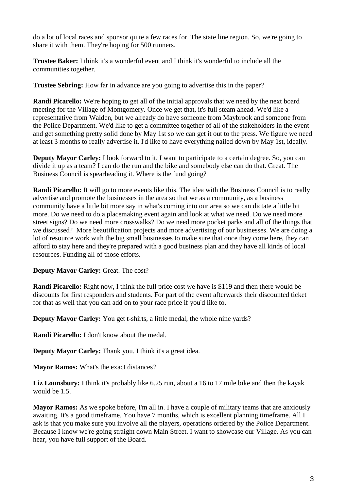do a lot of local races and sponsor quite a few races for. The state line region. So, we're going to share it with them. They're hoping for 500 runners.

**Trustee Baker:** I think it's a wonderful event and I think it's wonderful to include all the communities together.

**Trustee Sebring:** How far in advance are you going to advertise this in the paper?

**Randi Picarello:** We're hoping to get all of the initial approvals that we need by the next board meeting for the Village of Montgomery. Once we get that, it's full steam ahead. We'd like a representative from Walden, but we already do have someone from Maybrook and someone from the Police Department. We'd like to get a committee together of all of the stakeholders in the event and get something pretty solid done by May 1st so we can get it out to the press. We figure we need at least 3 months to really advertise it. I'd like to have everything nailed down by May 1st, ideally.

**Deputy Mayor Carley:** I look forward to it. I want to participate to a certain degree. So, you can divide it up as a team? I can do the run and the bike and somebody else can do that. Great. The Business Council is spearheading it. Where is the fund going?

**Randi Picarello:** It will go to more events like this. The idea with the Business Council is to really advertise and promote the businesses in the area so that we as a community, as a business community have a little bit more say in what's coming into our area so we can dictate a little bit more. Do we need to do a placemaking event again and look at what we need. Do we need more street signs? Do we need more crosswalks? Do we need more pocket parks and all of the things that we discussed? More beautification projects and more advertising of our businesses. We are doing a lot of resource work with the big small businesses to make sure that once they come here, they can afford to stay here and they're prepared with a good business plan and they have all kinds of local resources. Funding all of those efforts.

# **Deputy Mayor Carley:** Great. The cost?

**Randi Picarello:** Right now, I think the full price cost we have is \$119 and then there would be discounts for first responders and students. For part of the event afterwards their discounted ticket for that as well that you can add on to your race price if you'd like to.

**Deputy Mayor Carley:** You get t-shirts, a little medal, the whole nine yards?

**Randi Picarello:** I don't know about the medal.

**Deputy Mayor Carley:** Thank you. I think it's a great idea.

**Mayor Ramos:** What's the exact distances?

**Liz Lounsbury:** I think it's probably like 6.25 run, about a 16 to 17 mile bike and then the kayak would be 1.5.

**Mayor Ramos:** As we spoke before, I'm all in. I have a couple of military teams that are anxiously awaiting. It's a good timeframe. You have 7 months, which is excellent planning timeframe. All I ask is that you make sure you involve all the players, operations ordered by the Police Department. Because I know we're going straight down Main Street. I want to showcase our Village. As you can hear, you have full support of the Board.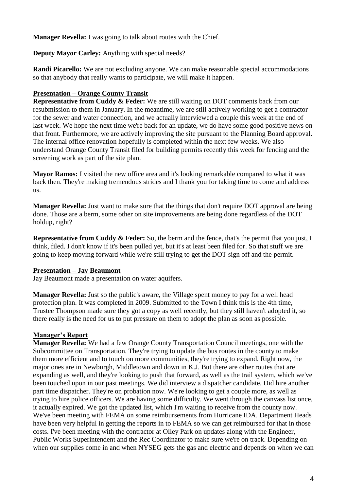**Manager Revella:** I was going to talk about routes with the Chief.

# **Deputy Mayor Carley:** Anything with special needs?

**Randi Picarello:** We are not excluding anyone. We can make reasonable special accommodations so that anybody that really wants to participate, we will make it happen.

# **Presentation – Orange County Transit**

**Representative from Cuddy & Feder:** We are still waiting on DOT comments back from our resubmission to them in January. In the meantime, we are still actively working to get a contractor for the sewer and water connection, and we actually interviewed a couple this week at the end of last week. We hope the next time we're back for an update, we do have some good positive news on that front. Furthermore, we are actively improving the site pursuant to the Planning Board approval. The internal office renovation hopefully is completed within the next few weeks. We also understand Orange County Transit filed for building permits recently this week for fencing and the screening work as part of the site plan.

**Mayor Ramos:** I visited the new office area and it's looking remarkable compared to what it was back then. They're making tremendous strides and I thank you for taking time to come and address us.

**Manager Revella:** Just want to make sure that the things that don't require DOT approval are being done. Those are a berm, some other on site improvements are being done regardless of the DOT holdup, right?

**Representative from Cuddy & Feder:** So, the berm and the fence, that's the permit that you just, I think, filed. I don't know if it's been pulled yet, but it's at least been filed for. So that stuff we are going to keep moving forward while we're still trying to get the DOT sign off and the permit.

# **Presentation – Jay Beaumont**

Jay Beaumont made a presentation on water aquifers.

**Manager Revella:** Just so the public's aware, the Village spent money to pay for a well head protection plan. It was completed in 2009. Submitted to the Town I think this is the 4th time, Trustee Thompson made sure they got a copy as well recently, but they still haven't adopted it, so there really is the need for us to put pressure on them to adopt the plan as soon as possible.

# **Manager's Report**

**Manager Revella:** We had a few Orange County Transportation Council meetings, one with the Subcommittee on Transportation. They're trying to update the bus routes in the county to make them more efficient and to touch on more communities, they're trying to expand. Right now, the major ones are in Newburgh, Middletown and down in K.J. But there are other routes that are expanding as well, and they're looking to push that forward, as well as the trail system, which we've been touched upon in our past meetings. We did interview a dispatcher candidate. Did hire another part time dispatcher. They're on probation now. We're looking to get a couple more, as well as trying to hire police officers. We are having some difficulty. We went through the canvass list once, it actually expired. We got the updated list, which I'm waiting to receive from the county now. We've been meeting with FEMA on some reimbursements from Hurricane IDA. Department Heads have been very helpful in getting the reports in to FEMA so we can get reimbursed for that in those costs. I've been meeting with the contractor at Olley Park on updates along with the Engineer, Public Works Superintendent and the Rec Coordinator to make sure we're on track. Depending on when our supplies come in and when NYSEG gets the gas and electric and depends on when we can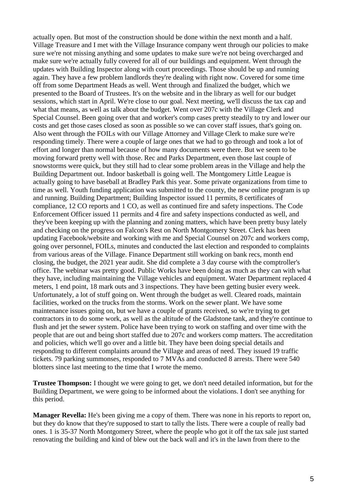actually open. But most of the construction should be done within the next month and a half. Village Treasure and I met with the Village Insurance company went through our policies to make sure we're not missing anything and some updates to make sure we're not being overcharged and make sure we're actually fully covered for all of our buildings and equipment. Went through the updates with Building Inspector along with court proceedings. Those should be up and running again. They have a few problem landlords they're dealing with right now. Covered for some time off from some Department Heads as well. Went through and finalized the budget, which we presented to the Board of Trustees. It's on the website and in the library as well for our budget sessions, which start in April. We're close to our goal. Next meeting, we'll discuss the tax cap and what that means, as well as talk about the budget. Went over 207c with the Village Clerk and Special Counsel. Been going over that and worker's comp cases pretty steadily to try and lower our costs and get those cases closed as soon as possible so we can cover staff issues, that's going on. Also went through the FOILs with our Village Attorney and Village Clerk to make sure we're responding timely. There were a couple of large ones that we had to go through and took a lot of effort and longer than normal because of how many documents were there. But we seem to be moving forward pretty well with those. Rec and Parks Department, even those last couple of snowstorms were quick, but they still had to clear some problem areas in the Village and help the Building Department out. Indoor basketball is going well. The Montgomery Little League is actually going to have baseball at Bradley Park this year. Some private organizations from time to time as well. Youth funding application was submitted to the county, the new online program is up and running. Building Department; Building Inspector issued 11 permits, 8 certificates of compliance, 12 CO reports and 1 CO, as well as continued fire and safety inspections. The Code Enforcement Officer issued 11 permits and 4 fire and safety inspections conducted as well, and they've been keeping up with the planning and zoning matters, which have been pretty busy lately and checking on the progress on Falcon's Rest on North Montgomery Street. Clerk has been updating Facebook/website and working with me and Special Counsel on 207c and workers comp, going over personnel, FOILs, minutes and conducted the last election and responded to complaints from various areas of the Village. Finance Department still working on bank recs, month end closing, the budget, the 2021 year audit. She did complete a 3 day course with the comptroller's office. The webinar was pretty good. Public Works have been doing as much as they can with what they have, including maintaining the Village vehicles and equipment. Water Department replaced 4 meters, 1 end point, 18 mark outs and 3 inspections. They have been getting busier every week. Unfortunately, a lot of stuff going on. Went through the budget as well. Cleared roads, maintain facilities, worked on the trucks from the storms. Work on the sewer plant. We have some maintenance issues going on, but we have a couple of grants received, so we're trying to get contractors in to do some work, as well as the altitude of the Gladstone tank, and they're continue to flush and jet the sewer system. Police have been trying to work on staffing and over time with the people that are out and being short staffed due to 207c and workers comp matters. The accreditation and policies, which we'll go over and a little bit. They have been doing special details and responding to different complaints around the Village and areas of need. They issued 19 traffic tickets. 79 parking summonses, responded to 7 MVAs and conducted 8 arrests. There were 540 blotters since last meeting to the time that I wrote the memo.

**Trustee Thompson:** I thought we were going to get, we don't need detailed information, but for the Building Department, we were going to be informed about the violations. I don't see anything for this period.

**Manager Revella:** He's been giving me a copy of them. There was none in his reports to report on, but they do know that they're supposed to start to tally the lists. There were a couple of really bad ones. 1 is 35-37 North Montgomery Street, where the people who got it off the tax sale just started renovating the building and kind of blew out the back wall and it's in the lawn from there to the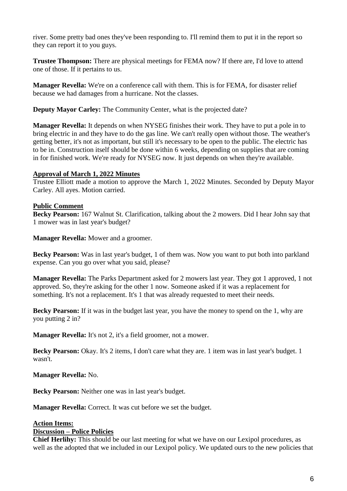river. Some pretty bad ones they've been responding to. I'll remind them to put it in the report so they can report it to you guys.

**Trustee Thompson:** There are physical meetings for FEMA now? If there are, I'd love to attend one of those. If it pertains to us.

**Manager Revella:** We're on a conference call with them. This is for FEMA, for disaster relief because we had damages from a hurricane. Not the classes.

**Deputy Mayor Carley:** The Community Center, what is the projected date?

**Manager Revella:** It depends on when NYSEG finishes their work. They have to put a pole in to bring electric in and they have to do the gas line. We can't really open without those. The weather's getting better, it's not as important, but still it's necessary to be open to the public. The electric has to be in. Construction itself should be done within 6 weeks, depending on supplies that are coming in for finished work. We're ready for NYSEG now. It just depends on when they're available.

# **Approval of March 1, 2022 Minutes**

Trustee Elliott made a motion to approve the March 1, 2022 Minutes. Seconded by Deputy Mayor Carley. All ayes. Motion carried.

# **Public Comment**

**Becky Pearson:** 167 Walnut St. Clarification, talking about the 2 mowers. Did I hear John say that 1 mower was in last year's budget?

**Manager Revella:** Mower and a groomer.

**Becky Pearson:** Was in last year's budget, 1 of them was. Now you want to put both into parkland expense. Can you go over what you said, please?

**Manager Revella:** The Parks Department asked for 2 mowers last year. They got 1 approved, 1 not approved. So, they're asking for the other 1 now. Someone asked if it was a replacement for something. It's not a replacement. It's 1 that was already requested to meet their needs.

**Becky Pearson:** If it was in the budget last year, you have the money to spend on the 1, why are you putting 2 in?

**Manager Revella:** It's not 2, it's a field groomer, not a mower.

**Becky Pearson:** Okay. It's 2 items, I don't care what they are. 1 item was in last year's budget. 1 wasn't.

**Manager Revella:** No.

**Becky Pearson:** Neither one was in last year's budget.

**Manager Revella:** Correct. It was cut before we set the budget.

# **Action Items:**

#### **Discussion – Police Policies**

**Chief Herlihy:** This should be our last meeting for what we have on our Lexipol procedures, as well as the adopted that we included in our Lexipol policy. We updated ours to the new policies that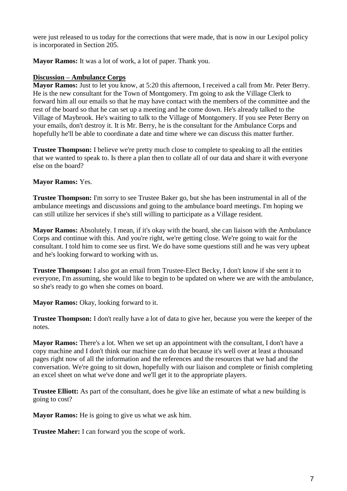were just released to us today for the corrections that were made, that is now in our Lexipol policy is incorporated in Section 205.

**Mayor Ramos:** It was a lot of work, a lot of paper. Thank you.

# **Discussion – Ambulance Corps**

**Mayor Ramos:** Just to let you know, at 5:20 this afternoon, I received a call from Mr. Peter Berry. He is the new consultant for the Town of Montgomery. I'm going to ask the Village Clerk to forward him all our emails so that he may have contact with the members of the committee and the rest of the board so that he can set up a meeting and he come down. He's already talked to the Village of Maybrook. He's waiting to talk to the Village of Montgomery. If you see Peter Berry on your emails, don't destroy it. It is Mr. Berry, he is the consultant for the Ambulance Corps and hopefully he'll be able to coordinate a date and time where we can discuss this matter further.

**Trustee Thompson:** I believe we're pretty much close to complete to speaking to all the entities that we wanted to speak to. Is there a plan then to collate all of our data and share it with everyone else on the board?

# **Mayor Ramos:** Yes.

**Trustee Thompson:** I'm sorry to see Trustee Baker go, but she has been instrumental in all of the ambulance meetings and discussions and going to the ambulance board meetings. I'm hoping we can still utilize her services if she's still willing to participate as a Village resident.

**Mayor Ramos:** Absolutely. I mean, if it's okay with the board, she can liaison with the Ambulance Corps and continue with this. And you're right, we're getting close. We're going to wait for the consultant. I told him to come see us first. We do have some questions still and he was very upbeat and he's looking forward to working with us.

**Trustee Thompson:** I also got an email from Trustee-Elect Becky, I don't know if she sent it to everyone, I'm assuming, she would like to begin to be updated on where we are with the ambulance, so she's ready to go when she comes on board.

Mayor Ramos: Okay, looking forward to it.

**Trustee Thompson:** I don't really have a lot of data to give her, because you were the keeper of the notes.

**Mayor Ramos:** There's a lot. When we set up an appointment with the consultant, I don't have a copy machine and I don't think our machine can do that because it's well over at least a thousand pages right now of all the information and the references and the resources that we had and the conversation. We're going to sit down, hopefully with our liaison and complete or finish completing an excel sheet on what we've done and we'll get it to the appropriate players.

**Trustee Elliott:** As part of the consultant, does he give like an estimate of what a new building is going to cost?

**Mayor Ramos:** He is going to give us what we ask him.

**Trustee Maher:** I can forward you the scope of work.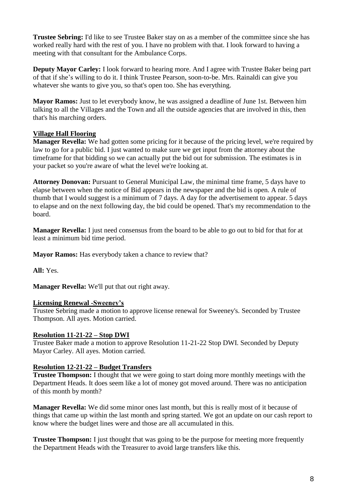**Trustee Sebring:** I'd like to see Trustee Baker stay on as a member of the committee since she has worked really hard with the rest of you. I have no problem with that. I look forward to having a meeting with that consultant for the Ambulance Corps.

**Deputy Mayor Carley:** I look forward to hearing more. And I agree with Trustee Baker being part of that if she's willing to do it. I think Trustee Pearson, soon-to-be. Mrs. Rainaldi can give you whatever she wants to give you, so that's open too. She has everything.

**Mayor Ramos:** Just to let everybody know, he was assigned a deadline of June 1st. Between him talking to all the Villages and the Town and all the outside agencies that are involved in this, then that's his marching orders.

# **Village Hall Flooring**

**Manager Revella:** We had gotten some pricing for it because of the pricing level, we're required by law to go for a public bid. I just wanted to make sure we get input from the attorney about the timeframe for that bidding so we can actually put the bid out for submission. The estimates is in your packet so you're aware of what the level we're looking at.

**Attorney Donovan:** Pursuant to General Municipal Law, the minimal time frame, 5 days have to elapse between when the notice of Bid appears in the newspaper and the bid is open. A rule of thumb that I would suggest is a minimum of 7 days. A day for the advertisement to appear. 5 days to elapse and on the next following day, the bid could be opened. That's my recommendation to the board.

**Manager Revella:** I just need consensus from the board to be able to go out to bid for that for at least a minimum bid time period.

**Mayor Ramos:** Has everybody taken a chance to review that?

**All:** Yes.

**Manager Revella:** We'll put that out right away.

# **Licensing Renewal -Sweeney's**

Trustee Sebring made a motion to approve license renewal for Sweeney's. Seconded by Trustee Thompson. All ayes. Motion carried.

# **Resolution 11-21-22 – Stop DWI**

Trustee Baker made a motion to approve Resolution 11-21-22 Stop DWI. Seconded by Deputy Mayor Carley. All ayes. Motion carried.

# **Resolution 12-21-22 – Budget Transfers**

**Trustee Thompson:** I thought that we were going to start doing more monthly meetings with the Department Heads. It does seem like a lot of money got moved around. There was no anticipation of this month by month?

**Manager Revella:** We did some minor ones last month, but this is really most of it because of things that came up within the last month and spring started. We got an update on our cash report to know where the budget lines were and those are all accumulated in this.

**Trustee Thompson:** I just thought that was going to be the purpose for meeting more frequently the Department Heads with the Treasurer to avoid large transfers like this.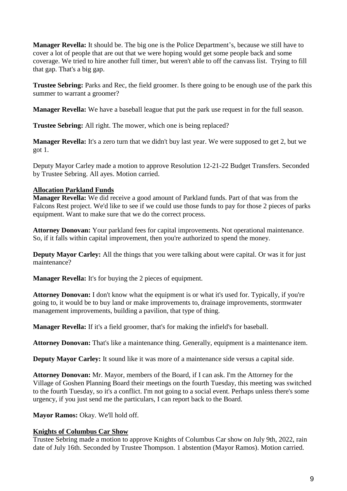**Manager Revella:** It should be. The big one is the Police Department's, because we still have to cover a lot of people that are out that we were hoping would get some people back and some coverage. We tried to hire another full timer, but weren't able to off the canvass list. Trying to fill that gap. That's a big gap.

**Trustee Sebring:** Parks and Rec, the field groomer. Is there going to be enough use of the park this summer to warrant a groomer?

**Manager Revella:** We have a baseball league that put the park use request in for the full season.

**Trustee Sebring:** All right. The mower, which one is being replaced?

**Manager Revella:** It's a zero turn that we didn't buy last year. We were supposed to get 2, but we got 1.

Deputy Mayor Carley made a motion to approve Resolution 12-21-22 Budget Transfers. Seconded by Trustee Sebring. All ayes. Motion carried.

# **Allocation Parkland Funds**

**Manager Revella:** We did receive a good amount of Parkland funds. Part of that was from the Falcons Rest project. We'd like to see if we could use those funds to pay for those 2 pieces of parks equipment. Want to make sure that we do the correct process.

**Attorney Donovan:** Your parkland fees for capital improvements. Not operational maintenance. So, if it falls within capital improvement, then you're authorized to spend the money.

**Deputy Mayor Carley:** All the things that you were talking about were capital. Or was it for just maintenance?

**Manager Revella:** It's for buying the 2 pieces of equipment.

**Attorney Donovan:** I don't know what the equipment is or what it's used for. Typically, if you're going to, it would be to buy land or make improvements to, drainage improvements, stormwater management improvements, building a pavilion, that type of thing.

**Manager Revella:** If it's a field groomer, that's for making the infield's for baseball.

**Attorney Donovan:** That's like a maintenance thing. Generally, equipment is a maintenance item.

**Deputy Mayor Carley:** It sound like it was more of a maintenance side versus a capital side.

**Attorney Donovan:** Mr. Mayor, members of the Board, if I can ask. I'm the Attorney for the Village of Goshen Planning Board their meetings on the fourth Tuesday, this meeting was switched to the fourth Tuesday, so it's a conflict. I'm not going to a social event. Perhaps unless there's some urgency, if you just send me the particulars, I can report back to the Board.

Mayor Ramos: Okay. We'll hold off.

# **Knights of Columbus Car Show**

Trustee Sebring made a motion to approve Knights of Columbus Car show on July 9th, 2022, rain date of July 16th. Seconded by Trustee Thompson. 1 abstention (Mayor Ramos). Motion carried.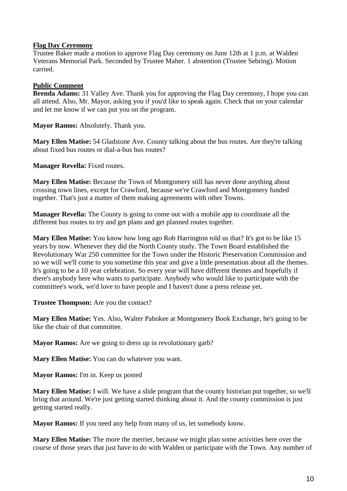### **Flag Day Ceremony**

Trustee Baker made a motion to approve Flag Day ceremony on June 12th at 1 p.m. at Walden Veterans Memorial Park. Seconded by Trustee Maher. 1 abstention (Trustee Sebring). Motion carried.

# **Public Comment**

**Brenda Adams:** 31 Valley Ave. Thank you for approving the Flag Day ceremony, I hope you can all attend. Also, Mr. Mayor, asking you if you'd like to speak again. Check that on your calendar and let me know if we can put you on the program.

**Mayor Ramos: Absolutely. Thank you.** 

**Mary Ellen Matise:** 54 Gladstone Ave. County talking about the bus routes. Are they're talking about fixed bus routes or dial-a-bus bus routes?

**Manager Revella:** Fixed routes.

**Mary Ellen Matise:** Because the Town of Montgomery still has never done anything about crossing town lines, except for Crawford, because we're Crawford and Montgomery funded together. That's just a matter of them making agreements with other Towns.

**Manager Revella:** The County is going to come out with a mobile app to coordinate all the different bus routes to try and get plans and get planned routes together.

**Mary Ellen Matise:** You know how long ago Rob Harrington told us that? It's got to be like 15 years by now. Whenever they did the North County study. The Town Board established the Revolutionary War 250 committee for the Town under the Historic Preservation Commission and so we will we'll come to you sometime this year and give a little presentation about all the themes. It's going to be a 10 year celebration. So every year will have different themes and hopefully if there's anybody here who wants to participate. Anybody who would like to participate with the committee's work, we'd love to have people and I haven't done a press release yet.

**Trustee Thompson:** Are you the contact?

**Mary Ellen Matise:** Yes. Also, Walter Pahokee at Montgomery Book Exchange, he's going to be like the chair of that committee.

**Mayor Ramos:** Are we going to dress up in revolutionary garb?

**Mary Ellen Matise:** You can do whatever you want.

**Mayor Ramos:** I'm in. Keep us posted

**Mary Ellen Matise:** I will. We have a slide program that the county historian put together, so we'll bring that around. We're just getting started thinking about it. And the county commission is just getting started really.

**Mayor Ramos:** If you need any help from many of us, let somebody know.

**Mary Ellen Matise:** The more the merrier, because we might plan some activities here over the course of those years that just have to do with Walden or participate with the Town. Any number of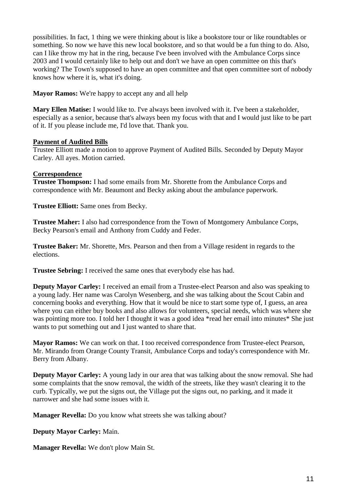possibilities. In fact, 1 thing we were thinking about is like a bookstore tour or like roundtables or something. So now we have this new local bookstore, and so that would be a fun thing to do. Also, can I like throw my hat in the ring, because I've been involved with the Ambulance Corps since 2003 and I would certainly like to help out and don't we have an open committee on this that's working? The Town's supposed to have an open committee and that open committee sort of nobody knows how where it is, what it's doing.

**Mayor Ramos:** We're happy to accept any and all help

**Mary Ellen Matise:** I would like to. I've always been involved with it. I've been a stakeholder, especially as a senior, because that's always been my focus with that and I would just like to be part of it. If you please include me, I'd love that. Thank you.

# **Payment of Audited Bills**

Trustee Elliott made a motion to approve Payment of Audited Bills. Seconded by Deputy Mayor Carley. All ayes. Motion carried.

# **Correspondence**

**Trustee Thompson:** I had some emails from Mr. Shorette from the Ambulance Corps and correspondence with Mr. Beaumont and Becky asking about the ambulance paperwork.

**Trustee Elliott:** Same ones from Becky.

**Trustee Maher:** I also had correspondence from the Town of Montgomery Ambulance Corps, Becky Pearson's email and Anthony from Cuddy and Feder.

**Trustee Baker:** Mr. Shorette, Mrs. Pearson and then from a Village resident in regards to the elections.

**Trustee Sebring:** I received the same ones that everybody else has had.

**Deputy Mayor Carley:** I received an email from a Trustee-elect Pearson and also was speaking to a young lady. Her name was Carolyn Wesenberg, and she was talking about the Scout Cabin and concerning books and everything. How that it would be nice to start some type of, I guess, an area where you can either buy books and also allows for volunteers, special needs, which was where she was pointing more too. I told her I thought it was a good idea \*read her email into minutes\* She just wants to put something out and I just wanted to share that.

**Mayor Ramos:** We can work on that. I too received correspondence from Trustee-elect Pearson, Mr. Mirando from Orange County Transit, Ambulance Corps and today's correspondence with Mr. Berry from Albany.

**Deputy Mayor Carley:** A young lady in our area that was talking about the snow removal. She had some complaints that the snow removal, the width of the streets, like they wasn't clearing it to the curb. Typically, we put the signs out, the Village put the signs out, no parking, and it made it narrower and she had some issues with it.

**Manager Revella:** Do you know what streets she was talking about?

**Deputy Mayor Carley:** Main.

**Manager Revella:** We don't plow Main St.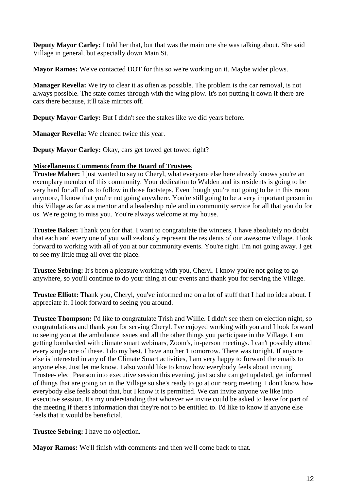**Deputy Mayor Carley:** I told her that, but that was the main one she was talking about. She said Village in general, but especially down Main St.

**Mayor Ramos:** We've contacted DOT for this so we're working on it. Maybe wider plows.

**Manager Revella:** We try to clear it as often as possible. The problem is the car removal, is not always possible. The state comes through with the wing plow. It's not putting it down if there are cars there because, it'll take mirrors off.

**Deputy Mayor Carley:** But I didn't see the stakes like we did years before.

**Manager Revella:** We cleaned twice this year.

Deputy Mayor Carley: Okay, cars get towed get towed right?

# **Miscellaneous Comments from the Board of Trustees**

**Trustee Maher:** I just wanted to say to Cheryl, what everyone else here already knows you're an exemplary member of this community. Your dedication to Walden and its residents is going to be very hard for all of us to follow in those footsteps. Even though you're not going to be in this room anymore, I know that you're not going anywhere. You're still going to be a very important person in this Village as far as a mentor and a leadership role and in community service for all that you do for us. We're going to miss you. You're always welcome at my house.

**Trustee Baker:** Thank you for that. I want to congratulate the winners, I have absolutely no doubt that each and every one of you will zealously represent the residents of our awesome Village. I look forward to working with all of you at our community events. You're right. I'm not going away. I get to see my little mug all over the place.

**Trustee Sebring:** It's been a pleasure working with you, Cheryl. I know you're not going to go anywhere, so you'll continue to do your thing at our events and thank you for serving the Village.

**Trustee Elliott:** Thank you, Cheryl, you've informed me on a lot of stuff that I had no idea about. I appreciate it. I look forward to seeing you around.

**Trustee Thompson:** I'd like to congratulate Trish and Willie. I didn't see them on election night, so congratulations and thank you for serving Cheryl. I've enjoyed working with you and I look forward to seeing you at the ambulance issues and all the other things you participate in the Village. I am getting bombarded with climate smart webinars, Zoom's, in-person meetings. I can't possibly attend every single one of these. I do my best. I have another 1 tomorrow. There was tonight. If anyone else is interested in any of the Climate Smart activities, I am very happy to forward the emails to anyone else. Just let me know. I also would like to know how everybody feels about inviting Trustee- elect Pearson into executive session this evening, just so she can get updated, get informed of things that are going on in the Village so she's ready to go at our reorg meeting. I don't know how everybody else feels about that, but I know it is permitted. We can invite anyone we like into executive session. It's my understanding that whoever we invite could be asked to leave for part of the meeting if there's information that they're not to be entitled to. I'd like to know if anyone else feels that it would be beneficial.

**Trustee Sebring:** I have no objection.

**Mayor Ramos:** We'll finish with comments and then we'll come back to that.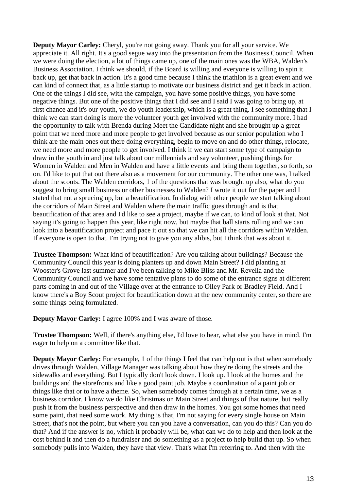**Deputy Mayor Carley:** Cheryl, you're not going away. Thank you for all your service. We appreciate it. All right. It's a good segue way into the presentation from the Business Council. When we were doing the election, a lot of things came up, one of the main ones was the WBA, Walden's Business Association. I think we should, if the Board is willing and everyone is willing to spin it back up, get that back in action. It's a good time because I think the triathlon is a great event and we can kind of connect that, as a little startup to motivate our business district and get it back in action. One of the things I did see, with the campaign, you have some positive things, you have some negative things. But one of the positive things that I did see and I said I was going to bring up, at first chance and it's our youth, we do youth leadership, which is a great thing. I see something that I think we can start doing is more the volunteer youth get involved with the community more. I had the opportunity to talk with Brenda during Meet the Candidate night and she brought up a great point that we need more and more people to get involved because as our senior population who I think are the main ones out there doing everything, begin to move on and do other things, relocate, we need more and more people to get involved. I think if we can start some type of campaign to draw in the youth in and just talk about our millennials and say volunteer, pushing things for Women in Walden and Men in Walden and have a little events and bring them together, so forth, so on. I'd like to put that out there also as a movement for our community. The other one was, I talked about the scouts. The Walden corridors, 1 of the questions that was brought up also, what do you suggest to bring small business or other businesses to Walden? I wrote it out for the paper and I stated that not a sprucing up, but a beautification. In dialog with other people we start talking about the corridors of Main Street and Walden where the main traffic goes through and is that beautification of that area and I'd like to see a project, maybe if we can, to kind of look at that. Not saying it's going to happen this year, like right now, but maybe that ball starts rolling and we can look into a beautification project and pace it out so that we can hit all the corridors within Walden. If everyone is open to that. I'm trying not to give you any alibis, but I think that was about it.

**Trustee Thompson:** What kind of beautification? Are you talking about buildings? Because the Community Council this year is doing planters up and down Main Street? I did planting at Wooster's Grove last summer and I've been talking to Mike Bliss and Mr. Revella and the Community Council and we have some tentative plans to do some of the entrance signs at different parts coming in and out of the Village over at the entrance to Olley Park or Bradley Field. And I know there's a Boy Scout project for beautification down at the new community center, so there are some things being formulated.

**Deputy Mayor Carley:** I agree 100% and I was aware of those.

**Trustee Thompson:** Well, if there's anything else, I'd love to hear, what else you have in mind. I'm eager to help on a committee like that.

**Deputy Mayor Carley:** For example, 1 of the things I feel that can help out is that when somebody drives through Walden, Village Manager was talking about how they're doing the streets and the sidewalks and everything. But I typically don't look down. I look up. I look at the homes and the buildings and the storefronts and like a good paint job. Maybe a coordination of a paint job or things like that or to have a theme. So, when somebody comes through at a certain time, we as a business corridor. I know we do like Christmas on Main Street and things of that nature, but really push it from the business perspective and then draw in the homes. You got some homes that need some paint, that need some work. My thing is that, I'm not saying for every single house on Main Street, that's not the point, but where you can you have a conversation, can you do this? Can you do that? And if the answer is no, which it probably will be, what can we do to help and then look at the cost behind it and then do a fundraiser and do something as a project to help build that up. So when somebody pulls into Walden, they have that view. That's what I'm referring to. And then with the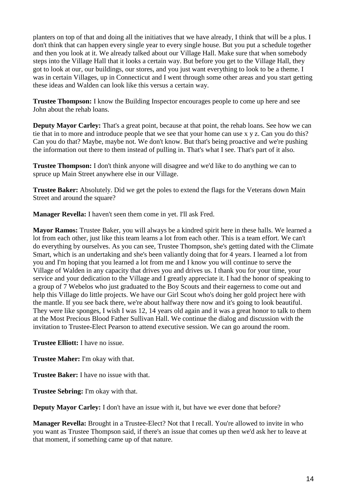planters on top of that and doing all the initiatives that we have already, I think that will be a plus. I don't think that can happen every single year to every single house. But you put a schedule together and then you look at it. We already talked about our Village Hall. Make sure that when somebody steps into the Village Hall that it looks a certain way. But before you get to the Village Hall, they got to look at our, our buildings, our stores, and you just want everything to look to be a theme. I was in certain Villages, up in Connecticut and I went through some other areas and you start getting these ideas and Walden can look like this versus a certain way.

**Trustee Thompson:** I know the Building Inspector encourages people to come up here and see John about the rehab loans.

**Deputy Mayor Carley:** That's a great point, because at that point, the rehab loans. See how we can tie that in to more and introduce people that we see that your home can use x y z. Can you do this? Can you do that? Maybe, maybe not. We don't know. But that's being proactive and we're pushing the information out there to them instead of pulling in. That's what I see. That's part of it also.

**Trustee Thompson:** I don't think anyone will disagree and we'd like to do anything we can to spruce up Main Street anywhere else in our Village.

**Trustee Baker:** Absolutely. Did we get the poles to extend the flags for the Veterans down Main Street and around the square?

**Manager Revella:** I haven't seen them come in yet. I'll ask Fred.

**Mayor Ramos:** Trustee Baker, you will always be a kindred spirit here in these halls. We learned a lot from each other, just like this team learns a lot from each other. This is a team effort. We can't do everything by ourselves. As you can see, Trustee Thompson, she's getting dated with the Climate Smart, which is an undertaking and she's been valiantly doing that for 4 years. I learned a lot from you and I'm hoping that you learned a lot from me and I know you will continue to serve the Village of Walden in any capacity that drives you and drives us. I thank you for your time, your service and your dedication to the Village and I greatly appreciate it. I had the honor of speaking to a group of 7 Webelos who just graduated to the Boy Scouts and their eagerness to come out and help this Village do little projects. We have our Girl Scout who's doing her gold project here with the mantle. If you see back there, we're about halfway there now and it's going to look beautiful. They were like sponges, I wish I was 12, 14 years old again and it was a great honor to talk to them at the Most Precious Blood Father Sullivan Hall. We continue the dialog and discussion with the invitation to Trustee-Elect Pearson to attend executive session. We can go around the room.

**Trustee Elliott:** I have no issue.

**Trustee Maher:** I'm okay with that.

**Trustee Baker:** I have no issue with that.

**Trustee Sebring:** I'm okay with that.

**Deputy Mayor Carley:** I don't have an issue with it, but have we ever done that before?

**Manager Revella:** Brought in a Trustee-Elect? Not that I recall. You're allowed to invite in who you want as Trustee Thompson said, if there's an issue that comes up then we'd ask her to leave at that moment, if something came up of that nature.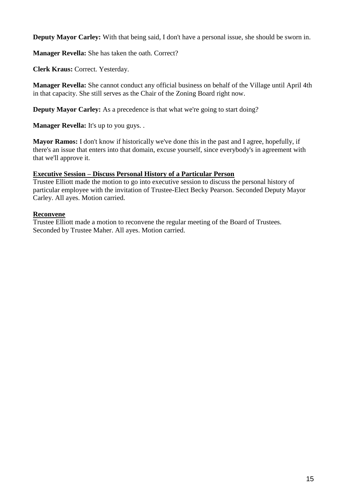**Deputy Mayor Carley:** With that being said, I don't have a personal issue, she should be sworn in.

**Manager Revella:** She has taken the oath. Correct?

**Clerk Kraus:** Correct. Yesterday.

**Manager Revella:** She cannot conduct any official business on behalf of the Village until April 4th in that capacity. She still serves as the Chair of the Zoning Board right now.

**Deputy Mayor Carley:** As a precedence is that what we're going to start doing?

**Manager Revella:** It's up to you guys. .

**Mayor Ramos:** I don't know if historically we've done this in the past and I agree, hopefully, if there's an issue that enters into that domain, excuse yourself, since everybody's in agreement with that we'll approve it.

# **Executive Session – Discuss Personal History of a Particular Person**

Trustee Elliott made the motion to go into executive session to discuss the personal history of particular employee with the invitation of Trustee-Elect Becky Pearson. Seconded Deputy Mayor Carley. All ayes. Motion carried.

# **Reconvene**

Trustee Elliott made a motion to reconvene the regular meeting of the Board of Trustees. Seconded by Trustee Maher. All ayes. Motion carried.